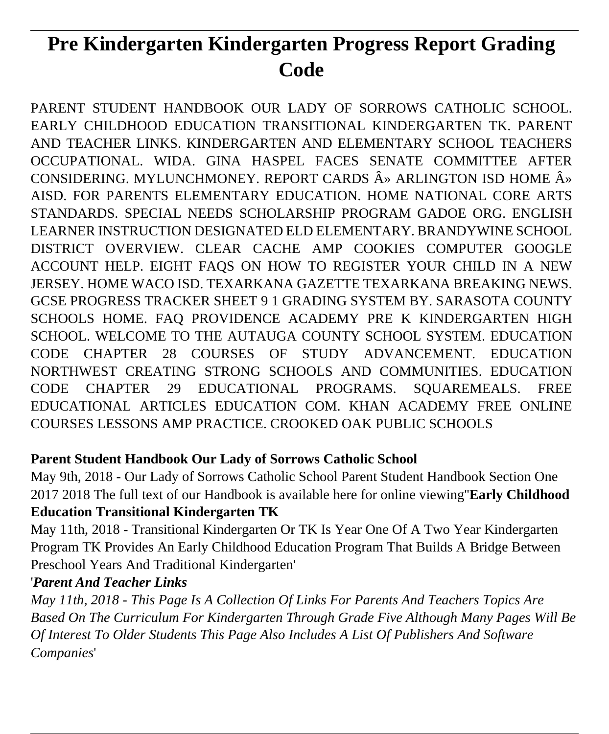# **Pre Kindergarten Kindergarten Progress Report Grading Code**

PARENT STUDENT HANDBOOK OUR LADY OF SORROWS CATHOLIC SCHOOL. EARLY CHILDHOOD EDUCATION TRANSITIONAL KINDERGARTEN TK. PARENT AND TEACHER LINKS. KINDERGARTEN AND ELEMENTARY SCHOOL TEACHERS OCCUPATIONAL. WIDA. GINA HASPEL FACES SENATE COMMITTEE AFTER CONSIDERING. MYLUNCHMONEY. REPORT CARDS  $\hat{A}$ <sup>»</sup> ARLINGTON ISD HOME  $\hat{A}$ <sup>»</sup> AISD. FOR PARENTS ELEMENTARY EDUCATION. HOME NATIONAL CORE ARTS STANDARDS. SPECIAL NEEDS SCHOLARSHIP PROGRAM GADOE ORG. ENGLISH LEARNER INSTRUCTION DESIGNATED ELD ELEMENTARY. BRANDYWINE SCHOOL DISTRICT OVERVIEW. CLEAR CACHE AMP COOKIES COMPUTER GOOGLE ACCOUNT HELP. EIGHT FAQS ON HOW TO REGISTER YOUR CHILD IN A NEW JERSEY. HOME WACO ISD. TEXARKANA GAZETTE TEXARKANA BREAKING NEWS. GCSE PROGRESS TRACKER SHEET 9 1 GRADING SYSTEM BY. SARASOTA COUNTY SCHOOLS HOME. FAQ PROVIDENCE ACADEMY PRE K KINDERGARTEN HIGH SCHOOL. WELCOME TO THE AUTAUGA COUNTY SCHOOL SYSTEM. EDUCATION CODE CHAPTER 28 COURSES OF STUDY ADVANCEMENT. EDUCATION NORTHWEST CREATING STRONG SCHOOLS AND COMMUNITIES. EDUCATION CODE CHAPTER 29 EDUCATIONAL PROGRAMS. SQUAREMEALS. FREE EDUCATIONAL ARTICLES EDUCATION COM. KHAN ACADEMY FREE ONLINE COURSES LESSONS AMP PRACTICE. CROOKED OAK PUBLIC SCHOOLS

### **Parent Student Handbook Our Lady of Sorrows Catholic School**

May 9th, 2018 - Our Lady of Sorrows Catholic School Parent Student Handbook Section One 2017 2018 The full text of our Handbook is available here for online viewing''**Early Childhood Education Transitional Kindergarten TK**

May 11th, 2018 - Transitional Kindergarten Or TK Is Year One Of A Two Year Kindergarten Program TK Provides An Early Childhood Education Program That Builds A Bridge Between Preschool Years And Traditional Kindergarten'

### '*Parent And Teacher Links*

*May 11th, 2018 - This Page Is A Collection Of Links For Parents And Teachers Topics Are Based On The Curriculum For Kindergarten Through Grade Five Although Many Pages Will Be Of Interest To Older Students This Page Also Includes A List Of Publishers And Software Companies*'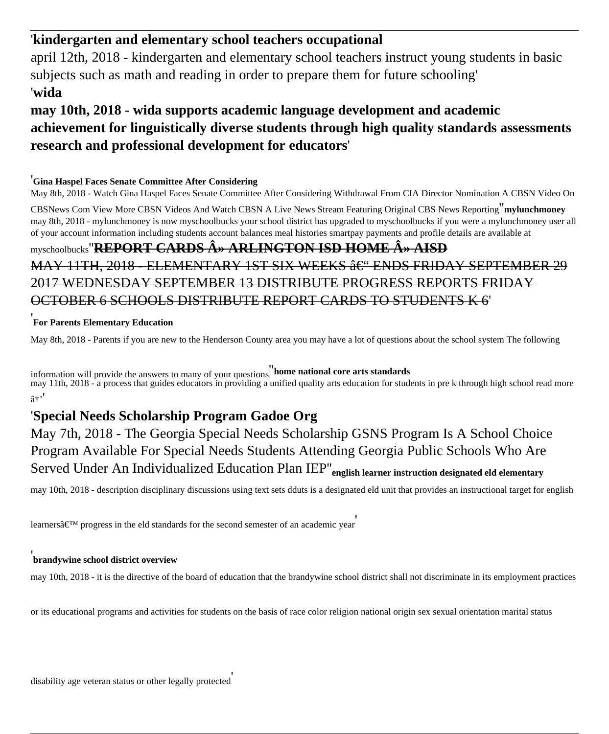#### '**kindergarten and elementary school teachers occupational**

april 12th, 2018 - kindergarten and elementary school teachers instruct young students in basic subjects such as math and reading in order to prepare them for future schooling' '**wida**

#### **may 10th, 2018 - wida supports academic language development and academic achievement for linguistically diverse students through high quality standards assessments research and professional development for educators**'

#### '**Gina Haspel Faces Senate Committee After Considering**

May 8th, 2018 - Watch Gina Haspel Faces Senate Committee After Considering Withdrawal From CIA Director Nomination A CBSN Video On

CBSNews Com View More CBSN Videos And Watch CBSN A Live News Stream Featuring Original CBS News Reporting''**mylunchmoney** may 8th, 2018 - mylunchmoney is now myschoolbucks your school district has upgraded to myschoolbucks if you were a mylunchmoney user all of your account information including students account balances meal histories smartpay payments and profile details are available at

# myschoolbucks"**REPORT CARDS A>> ARLINGTON ISD HOME A>> AISD**

MAY 11TH,  $2018$  – FLEMENTARY 1ST SIX WEEKS  $\hat{a} \in C^{\infty}$  ENDS FRIDAY SEPTEMBER 29 2017 WEDNESDAY SEPTEMBER 13 DISTRIBUTE PROGRESS REPORTS FRIDAY OCTOBER 6 SCHOOLS DISTRIBUTE REPORT CARDS TO STUDENTS K 6'

#### '**For Parents Elementary Education**

May 8th, 2018 - Parents if you are new to the Henderson County area you may have a lot of questions about the school system The following

information will provide the answers to many of your questions''**home national core arts standards** may 11th, 2018 - a process that guides educators in providing a unified quality arts education for students in pre k through high school read more  $a^{+}$ 

#### '**Special Needs Scholarship Program Gadoe Org**

May 7th, 2018 - The Georgia Special Needs Scholarship GSNS Program Is A School Choice Program Available For Special Needs Students Attending Georgia Public Schools Who Are Served Under An Individualized Education Plan IEP''**english learner instruction designated eld elementary**

may 10th, 2018 - description disciplinary discussions using text sets dduts is a designated eld unit that provides an instructional target for english

learners $\hat{\mathbf{a}} \in \mathbb{M}$  progress in the eld standards for the second semester of an academic year

#### '**brandywine school district overview**

may 10th, 2018 - it is the directive of the board of education that the brandywine school district shall not discriminate in its employment practices

or its educational programs and activities for students on the basis of race color religion national origin sex sexual orientation marital status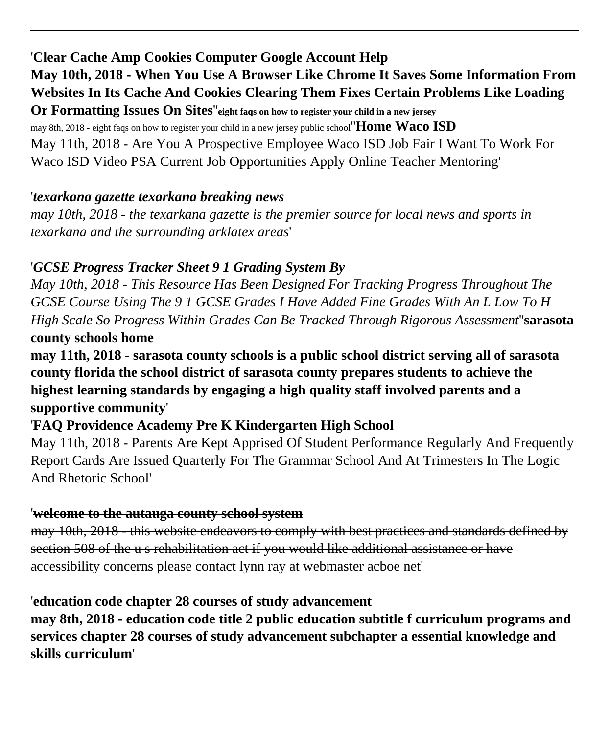'**Clear Cache Amp Cookies Computer Google Account Help May 10th, 2018 - When You Use A Browser Like Chrome It Saves Some Information From Websites In Its Cache And Cookies Clearing Them Fixes Certain Problems Like Loading Or Formatting Issues On Sites**''**eight faqs on how to register your child in a new jersey**

may 8th, 2018 - eight faqs on how to register your child in a new jersey public school''**Home Waco ISD** May 11th, 2018 - Are You A Prospective Employee Waco ISD Job Fair I Want To Work For Waco ISD Video PSA Current Job Opportunities Apply Online Teacher Mentoring'

#### '*texarkana gazette texarkana breaking news*

*may 10th, 2018 - the texarkana gazette is the premier source for local news and sports in texarkana and the surrounding arklatex areas*'

#### '*GCSE Progress Tracker Sheet 9 1 Grading System By*

*May 10th, 2018 - This Resource Has Been Designed For Tracking Progress Throughout The GCSE Course Using The 9 1 GCSE Grades I Have Added Fine Grades With An L Low To H High Scale So Progress Within Grades Can Be Tracked Through Rigorous Assessment*''**sarasota county schools home**

**may 11th, 2018 - sarasota county schools is a public school district serving all of sarasota county florida the school district of sarasota county prepares students to achieve the highest learning standards by engaging a high quality staff involved parents and a supportive community**'

### '**FAQ Providence Academy Pre K Kindergarten High School**

May 11th, 2018 - Parents Are Kept Apprised Of Student Performance Regularly And Frequently Report Cards Are Issued Quarterly For The Grammar School And At Trimesters In The Logic And Rhetoric School'

#### '**welcome to the autauga county school system**

may 10th, 2018 - this website endeavors to comply with best practices and standards defined by section 508 of the u s rehabilitation act if you would like additional assistance or have accessibility concerns please contact lynn ray at webmaster acboe net'

#### '**education code chapter 28 courses of study advancement**

**may 8th, 2018 - education code title 2 public education subtitle f curriculum programs and services chapter 28 courses of study advancement subchapter a essential knowledge and skills curriculum**'